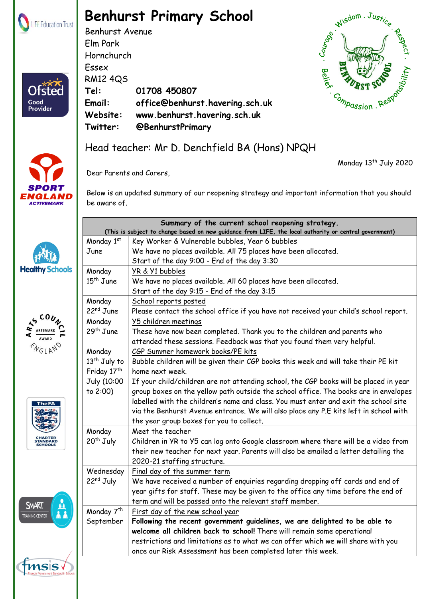

Ofstec

Good Provider

## **Benhurst Primary School**

Benhurst Avenue Elm Park Hornchurch Essex RM12 4QS **Tel: 01708 450807 Email: office@benhurst.havering.sch.uk Website: www.benhurst.havering.sch.uk Twitter: @BenhurstPrimary**



Monday 13<sup>th</sup> July 2020



## Head teacher: Mr D. Denchfield BA (Hons) NPQH

Dear Parents and Carers,

Below is an updated summary of our reopening strategy and important information that you should be aware of.

|                                       | Summary of the current school reopening strategy.<br>(This is subject to change based on new guidance from LIFE, the local authority or central government) |                                                                                       |
|---------------------------------------|-------------------------------------------------------------------------------------------------------------------------------------------------------------|---------------------------------------------------------------------------------------|
|                                       | Monday 1st                                                                                                                                                  | Key Worker & Vulnerable bubbles, Year 6 bubbles                                       |
|                                       | June                                                                                                                                                        | We have no places available. All 75 places have been allocated.                       |
|                                       |                                                                                                                                                             | Start of the day 9:00 - End of the day 3:30                                           |
| <b>Healthy Schools</b>                | Monday                                                                                                                                                      | YR & Y1 bubbles                                                                       |
|                                       | $15th$ June                                                                                                                                                 | We have no places available. All 60 places have been allocated.                       |
|                                       |                                                                                                                                                             | Start of the day 9:15 - End of the day 3:15                                           |
| CO $\boldsymbol{\iota}$               | Monday                                                                                                                                                      | School reports posted                                                                 |
|                                       | $22nd$ June                                                                                                                                                 | Please contact the school office if you have not received your child's school report. |
|                                       | Monday                                                                                                                                                      | Y5 children meetings                                                                  |
|                                       | 29 <sup>th</sup> June                                                                                                                                       | These have now been completed. Thank you to the children and parents who              |
|                                       |                                                                                                                                                             | attended these sessions. Feedback was that you found them very helpful.               |
|                                       | Monday                                                                                                                                                      | CGP Summer homework books/PE kits                                                     |
|                                       | 13 <sup>th</sup> July to                                                                                                                                    | Bubble children will be given their CGP books this week and will take their PE kit    |
|                                       | Friday 17th                                                                                                                                                 | home next week.                                                                       |
|                                       | July (10:00                                                                                                                                                 | If your child/children are not attending school, the CGP books will be placed in year |
| <b>The FA</b><br><b>STANDARD</b>      | to 2:00)                                                                                                                                                    | group boxes on the yellow path outside the school office. The books are in envelopes  |
|                                       |                                                                                                                                                             | labelled with the children's name and class. You must enter and exit the school site  |
|                                       |                                                                                                                                                             | via the Benhurst Avenue entrance. We will also place any P.E kits left in school with |
|                                       |                                                                                                                                                             | the year group boxes for you to collect.                                              |
|                                       | Monday                                                                                                                                                      | Meet the teacher                                                                      |
|                                       | $20th$ July                                                                                                                                                 | Children in YR to Y5 can log onto Google classroom where there will be a video from   |
|                                       |                                                                                                                                                             | their new teacher for next year. Parents will also be emailed a letter detailing the  |
|                                       |                                                                                                                                                             | 2020-21 staffing structure.                                                           |
| <b>SMART</b><br><b>RAINING CENTER</b> | Wednesday                                                                                                                                                   | Final day of the summer term                                                          |
|                                       | 22 <sup>nd</sup> July                                                                                                                                       | We have received a number of enquiries regarding dropping off cards and end of        |
|                                       |                                                                                                                                                             | year gifts for staff. These may be given to the office any time before the end of     |
|                                       |                                                                                                                                                             | term and will be passed onto the relevant staff member.                               |
|                                       | Monday 7 <sup>th</sup>                                                                                                                                      | First day of the new school year                                                      |
|                                       | September                                                                                                                                                   | Following the recent government guidelines, we are delighted to be able to            |
|                                       |                                                                                                                                                             | welcome all children back to school! There will remain some operational               |
|                                       |                                                                                                                                                             | restrictions and limitations as to what we can offer which we will share with you     |
|                                       |                                                                                                                                                             | once our Risk Assessment has been completed later this week.                          |

fmss Benhurst Primary School part of LIFE Education Trust. Registered in England & Wales. Company Number: 08102628